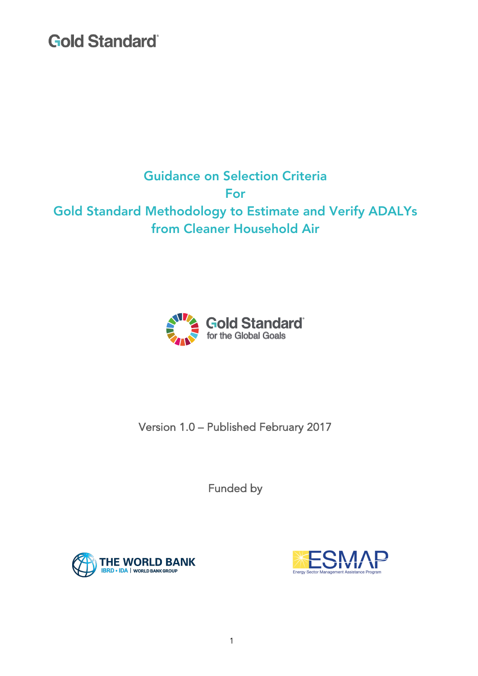## Guidance on Selection Criteria For Gold Standard Methodology to Estimate and Verify ADALYs from Cleaner Household Air



Version 1.0 – Published February 2017

Funded by



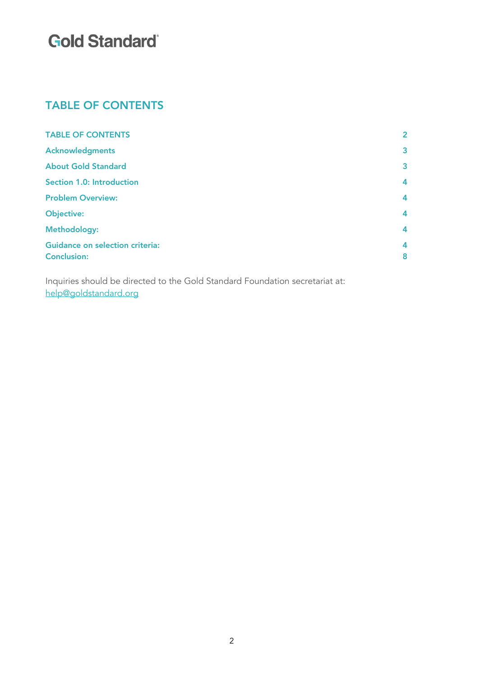### TABLE OF CONTENTS

| <b>TABLE OF CONTENTS</b>               | $\overline{2}$          |
|----------------------------------------|-------------------------|
| <b>Acknowledgments</b>                 | $\overline{\mathbf{3}}$ |
| <b>About Gold Standard</b>             | $\overline{\mathbf{3}}$ |
| <b>Section 1.0: Introduction</b>       | $\overline{\mathbf{4}}$ |
| <b>Problem Overview:</b>               | 4                       |
| <b>Objective:</b>                      | $\overline{\mathbf{4}}$ |
| Methodology:                           | $\overline{\mathbf{4}}$ |
| <b>Guidance on selection criteria:</b> | 4                       |
| <b>Conclusion:</b>                     | 8                       |
|                                        |                         |

Inquiries should be directed to the Gold Standard Foundation secretariat at: help@goldstandard.org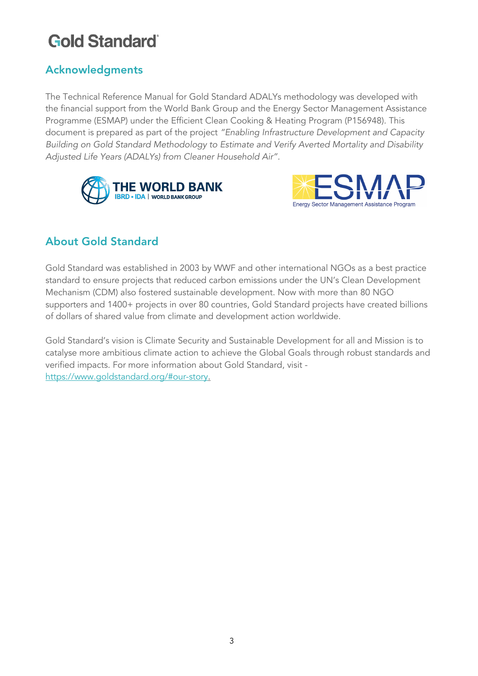## Acknowledgments

The Technical Reference Manual for Gold Standard ADALYs methodology was developed with the financial support from the World Bank Group and the Energy Sector Management Assistance Programme (ESMAP) under the Efficient Clean Cooking & Heating Program (P156948). This document is prepared as part of the project *"Enabling Infrastructure Development and Capacity Building on Gold Standard Methodology to Estimate and Verify Averted Mortality and Disability Adjusted Life Years (ADALYs) from Cleaner Household Air".*





### About Gold Standard

Gold Standard was established in 2003 by WWF and other international NGOs as a best practice standard to ensure projects that reduced carbon emissions under the UN's Clean Development Mechanism (CDM) also fostered sustainable development. Now with more than 80 NGO supporters and 1400+ projects in over 80 countries, Gold Standard projects have created billions of dollars of shared value from climate and development action worldwide.

Gold Standard's vision is Climate Security and Sustainable Development for all and Mission is to catalyse more ambitious climate action to achieve the Global Goals through robust standards and verified impacts. For more information about Gold Standard, visit https://www.goldstandard.org/#our-story.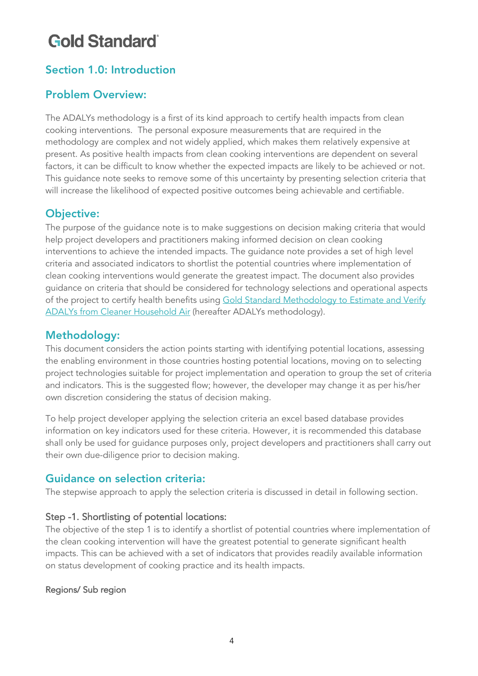### Section 1.0: Introduction

### Problem Overview:

The ADALYs methodology is a first of its kind approach to certify health impacts from clean cooking interventions. The personal exposure measurements that are required in the methodology are complex and not widely applied, which makes them relatively expensive at present. As positive health impacts from clean cooking interventions are dependent on several factors, it can be difficult to know whether the expected impacts are likely to be achieved or not. This guidance note seeks to remove some of this uncertainty by presenting selection criteria that will increase the likelihood of expected positive outcomes being achievable and certifiable.

### Objective:

The purpose of the guidance note is to make suggestions on decision making criteria that would help project developers and practitioners making informed decision on clean cooking interventions to achieve the intended impacts. The guidance note provides a set of high level criteria and associated indicators to shortlist the potential countries where implementation of clean cooking interventions would generate the greatest impact. The document also provides guidance on criteria that should be considered for technology selections and operational aspects of the project to certify health benefits using Gold Standard Methodology to Estimate and Verify ADALYs from Cleaner Household Air (hereafter ADALYs methodology).

### Methodology:

This document considers the action points starting with identifying potential locations, assessing the enabling environment in those countries hosting potential locations, moving on to selecting project technologies suitable for project implementation and operation to group the set of criteria and indicators. This is the suggested flow; however, the developer may change it as per his/her own discretion considering the status of decision making.

To help project developer applying the selection criteria an excel based database provides information on key indicators used for these criteria. However, it is recommended this database shall only be used for guidance purposes only, project developers and practitioners shall carry out their own due-diligence prior to decision making.

### Guidance on selection criteria:

The stepwise approach to apply the selection criteria is discussed in detail in following section.

#### Step -1. Shortlisting of potential locations:

The objective of the step 1 is to identify a shortlist of potential countries where implementation of the clean cooking intervention will have the greatest potential to generate significant health impacts. This can be achieved with a set of indicators that provides readily available information on status development of cooking practice and its health impacts.

#### Regions/ Sub region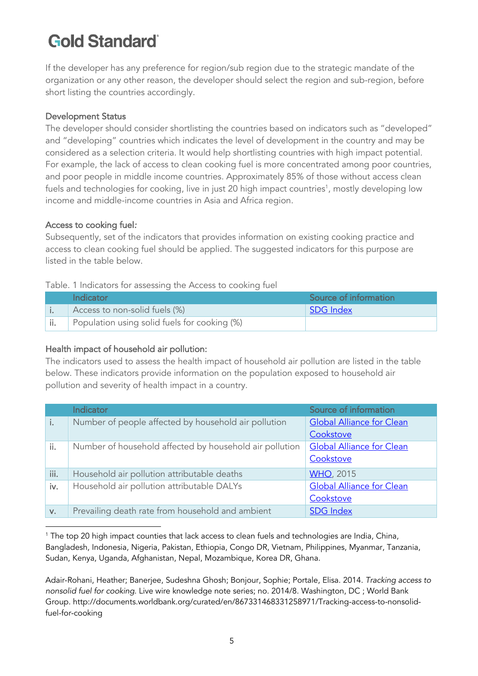If the developer has any preference for region/sub region due to the strategic mandate of the organization or any other reason, the developer should select the region and sub-region, before short listing the countries accordingly.

#### Development Status

The developer should consider shortlisting the countries based on indicators such as "developed" and "developing" countries which indicates the level of development in the country and may be considered as a selection criteria. It would help shortlisting countries with high impact potential. For example, the lack of access to clean cooking fuel is more concentrated among poor countries, and poor people in middle income countries. Approximately 85% of those without access clean fuels and technologies for cooking, live in just 20 high impact countries $^{\rm 1}$ , mostly developing low income and middle-income countries in Asia and Africa region.

#### Access to cooking fuel*:*

Subsequently, set of the indicators that provides information on existing cooking practice and access to clean cooking fuel should be applied. The suggested indicators for this purpose are listed in the table below.

#### Table. 1 Indicators for assessing the Access to cooking fuel

| Indicator                                    | Source of information |
|----------------------------------------------|-----------------------|
| Access to non-solid fuels (%)                | SDG Index             |
| Population using solid fuels for cooking (%) |                       |

#### Health impact of household air pollution:

The indicators used to assess the health impact of household air pollution are listed in the table below. These indicators provide information on the population exposed to household air pollution and severity of health impact in a country.

|      | <b>Indicator</b>                                        | Source of information            |
|------|---------------------------------------------------------|----------------------------------|
| i.   | Number of people affected by household air pollution    | <b>Global Alliance for Clean</b> |
|      |                                                         | Cookstove                        |
| ii.  | Number of household affected by household air pollution | <b>Global Alliance for Clean</b> |
|      |                                                         | Cookstove                        |
| iii. | Household air pollution attributable deaths             | <b>WHO, 2015</b>                 |
| iv.  | Household air pollution attributable DALYs              | <b>Global Alliance for Clean</b> |
|      |                                                         | Cookstove                        |
| V.   | Prevailing death rate from household and ambient        | <b>SDG Index</b>                 |

 <sup>1</sup> The top 20 high impact counties that lack access to clean fuels and technologies are India, China, Bangladesh, Indonesia, Nigeria, Pakistan, Ethiopia, Congo DR, Vietnam, Philippines, Myanmar, Tanzania, Sudan, Kenya, Uganda, Afghanistan, Nepal, Mozambique, Korea DR, Ghana.

Adair-Rohani, Heather; Banerjee, Sudeshna Ghosh; Bonjour, Sophie; Portale, Elisa. 2014. *Tracking access to nonsolid fuel for cooking*. Live wire knowledge note series; no. 2014/8. Washington, DC ; World Bank Group. http://documents.worldbank.org/curated/en/867331468331258971/Tracking-access-to-nonsolidfuel-for-cooking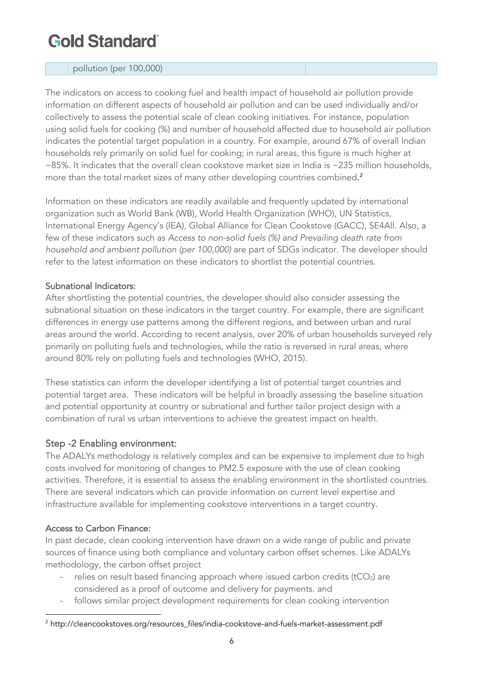#### pollution (per 100,000)

The indicators on access to cooking fuel and health impact of household air pollution provide information on different aspects of household air pollution and can be used individually and/or collectively to assess the potential scale of clean cooking initiatives. For instance, population using solid fuels for cooking (%) and number of household affected due to household air pollution indicates the potential target population in a country. For example, around 67% of overall Indian households rely primarily on solid fuel for cooking; in rural areas, this figure is much higher at ~85%. It indicates that the overall clean cookstove market size in India is ~235 million households, more than the total market sizes of many other developing countries combined. $^2$ 

Information on these indicators are readily available and frequently updated by international organization such as World Bank (WB), World Health Organization (WHO), UN Statistics, International Energy Agency's (IEA), Global Alliance for Clean Cookstove (GACC), SE4All. Also, a few of these indicators such as *Access to non-solid fuels (%) and Prevailing death rate from household and ambient pollution (per 100,000)* are part of SDGs indicator. The developer should refer to the latest information on these indicators to shortlist the potential countries.

#### Subnational Indicators:

After shortlisting the potential countries, the developer should also consider assessing the subnational situation on these indicators in the target country. For example, there are significant differences in energy use patterns among the different regions, and between urban and rural areas around the world. According to recent analysis, over 20% of urban households surveyed rely primarily on polluting fuels and technologies, while the ratio is reversed in rural areas, where around 80% rely on polluting fuels and technologies (WHO, 2015).

These statistics can inform the developer identifying a list of potential target countries and potential target area. These indicators will be helpful in broadly assessing the baseline situation and potential opportunity at country or subnational and further tailor project design with a combination of rural vs urban interventions to achieve the greatest impact on health.

#### Step -2 Enabling environment:

The ADALYs methodology is relatively complex and can be expensive to implement due to high costs involved for monitoring of changes to PM2.5 exposure with the use of clean cooking activities. Therefore, it is essential to assess the enabling environment in the shortlisted countries. There are several indicators which can provide information on current level expertise and infrastructure available for implementing cookstove interventions in a target country.

#### Access to Carbon Finance:

 

In past decade, clean cooking intervention have drawn on a wide range of public and private sources of finance using both compliance and voluntary carbon offset schemes. Like ADALYs methodology, the carbon offset project

- relies on result based financing approach where issued carbon credits (tCO<sub>2</sub>) are considered as a proof of outcome and delivery for payments. and
- follows similar project development requirements for clean cooking intervention

<sup>&</sup>lt;sup>2</sup> http://cleancookstoves.org/resources\_files/india-cookstove-and-fuels-market-assessment.pdf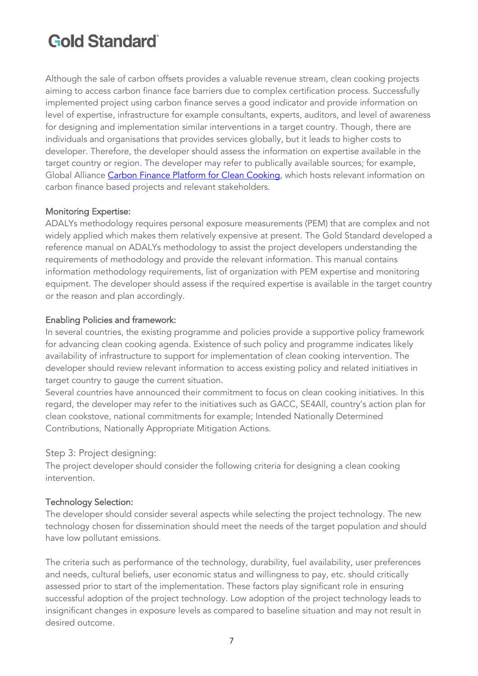Although the sale of carbon offsets provides a valuable revenue stream, clean cooking projects aiming to access carbon finance face barriers due to complex certification process. Successfully implemented project using carbon finance serves a good indicator and provide information on level of expertise, infrastructure for example consultants, experts, auditors, and level of awareness for designing and implementation similar interventions in a target country. Though, there are individuals and organisations that provides services globally, but it leads to higher costs to developer. Therefore, the developer should assess the information on expertise available in the target country or region. The developer may refer to publically available sources; for example, Global Alliance Carbon Finance Platform for Clean Cooking, which hosts relevant information on carbon finance based projects and relevant stakeholders.

#### Monitoring Expertise:

ADALYs methodology requires personal exposure measurements (PEM) that are complex and not widely applied which makes them relatively expensive at present. The Gold Standard developed a reference manual on ADALYs methodology to assist the project developers understanding the requirements of methodology and provide the relevant information. This manual contains information methodology requirements, list of organization with PEM expertise and monitoring equipment. The developer should assess if the required expertise is available in the target country or the reason and plan accordingly.

#### Enabling Policies and framework:

In several countries, the existing programme and policies provide a supportive policy framework for advancing clean cooking agenda. Existence of such policy and programme indicates likely availability of infrastructure to support for implementation of clean cooking intervention. The developer should review relevant information to access existing policy and related initiatives in target country to gauge the current situation.

Several countries have announced their commitment to focus on clean cooking initiatives. In this regard, the developer may refer to the initiatives such as GACC, SE4All, country's action plan for clean cookstove, national commitments for example; Intended Nationally Determined Contributions, Nationally Appropriate Mitigation Actions.

#### Step 3: Project designing:

The project developer should consider the following criteria for designing a clean cooking intervention.

#### Technology Selection:

The developer should consider several aspects while selecting the project technology. The new technology chosen for dissemination should meet the needs of the target population *and* should have low pollutant emissions.

The criteria such as performance of the technology, durability, fuel availability, user preferences and needs, cultural beliefs, user economic status and willingness to pay, etc. should critically assessed prior to start of the implementation. These factors play significant role in ensuring successful adoption of the project technology. Low adoption of the project technology leads to insignificant changes in exposure levels as compared to baseline situation and may not result in desired outcome.